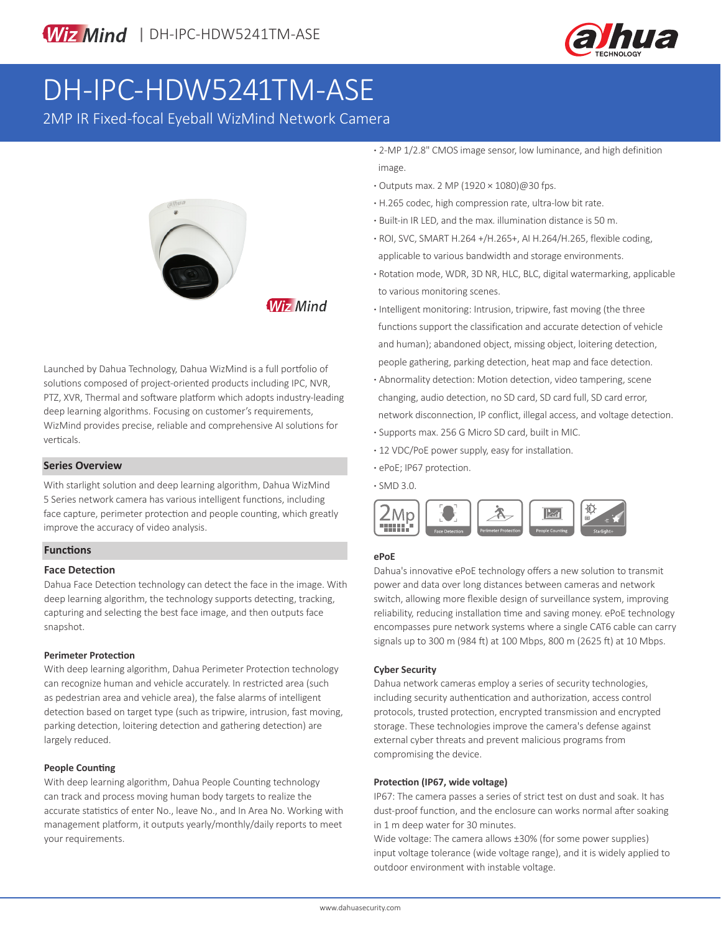

# DH-IPC-HDW5241TM-ASE

2MP IR Fixed-focal Eyeball WizMind Network Camera



**Wiz Mind** 

Launched by Dahua Technology, Dahua WizMind is a full portfolio of solutions composed of project-oriented products including IPC, NVR, PTZ, XVR, Thermal and software platform which adopts industry-leading deep learning algorithms. Focusing on customer's requirements, WizMind provides precise, reliable and comprehensive AI solutions for verticals.

#### **Series Overview**

With starlight solution and deep learning algorithm, Dahua WizMind 5 Series network camera has various intelligent functions, including face capture, perimeter protection and people counting, which greatly improve the accuracy of video analysis.

#### **Functions**

#### **Face Detection**

Dahua Face Detection technology can detect the face in the image. With deep learning algorithm, the technology supports detecting, tracking, capturing and selecting the best face image, and then outputs face snapshot.

#### **Perimeter Protection**

With deep learning algorithm, Dahua Perimeter Protection technology can recognize human and vehicle accurately. In restricted area (such as pedestrian area and vehicle area), the false alarms of intelligent detection based on target type (such as tripwire, intrusion, fast moving, parking detection, loitering detection and gathering detection) are largely reduced.

#### **People Counting**

With deep learning algorithm, Dahua People Counting technology can track and process moving human body targets to realize the accurate statistics of enter No., leave No., and In Area No. Working with management platform, it outputs yearly/monthly/daily reports to meet your requirements.

- **·** 2-MP 1/2.8" CMOS image sensor, low luminance, and high definition image.
- **·** Outputs max. 2 MP (1920 × 1080)@30 fps.
- **·** H.265 codec, high compression rate, ultra-low bit rate.
- **·** Built-in IR LED, and the max. illumination distance is 50 m.
- **·** ROI, SVC, SMART H.264 +/H.265+, AI H.264/H.265, flexible coding, applicable to various bandwidth and storage environments.
- **·** Rotation mode, WDR, 3D NR, HLC, BLC, digital watermarking, applicable to various monitoring scenes.
- **·** Intelligent monitoring: Intrusion, tripwire, fast moving (the three functions support the classification and accurate detection of vehicle and human); abandoned object, missing object, loitering detection, people gathering, parking detection, heat map and face detection.
- **·** Abnormality detection: Motion detection, video tampering, scene changing, audio detection, no SD card, SD card full, SD card error, network disconnection, IP conflict, illegal access, and voltage detection.
- **·** Supports max. 256 G Micro SD card, built in MIC.
- **·** 12 VDC/PoE power supply, easy for installation.
- **·** ePoE; IP67 protection.

**·** SMD 3.0.



#### **ePoE**

Dahua's innovative ePoE technology offers a new solution to transmit power and data over long distances between cameras and network switch, allowing more flexible design of surveillance system, improving reliability, reducing installation time and saving money. ePoE technology encompasses pure network systems where a single CAT6 cable can carry signals up to 300 m (984 ft) at 100 Mbps, 800 m (2625 ft) at 10 Mbps.

#### **Cyber Security**

Dahua network cameras employ a series of security technologies, including security authentication and authorization, access control protocols, trusted protection, encrypted transmission and encrypted storage. These technologies improve the camera's defense against external cyber threats and prevent malicious programs from compromising the device.

#### **Protection (IP67, wide voltage)**

IP67: The camera passes a series of strict test on dust and soak. It has dust-proof function, and the enclosure can works normal after soaking in 1 m deep water for 30 minutes.

Wide voltage: The camera allows ±30% (for some power supplies) input voltage tolerance (wide voltage range), and it is widely applied to outdoor environment with instable voltage.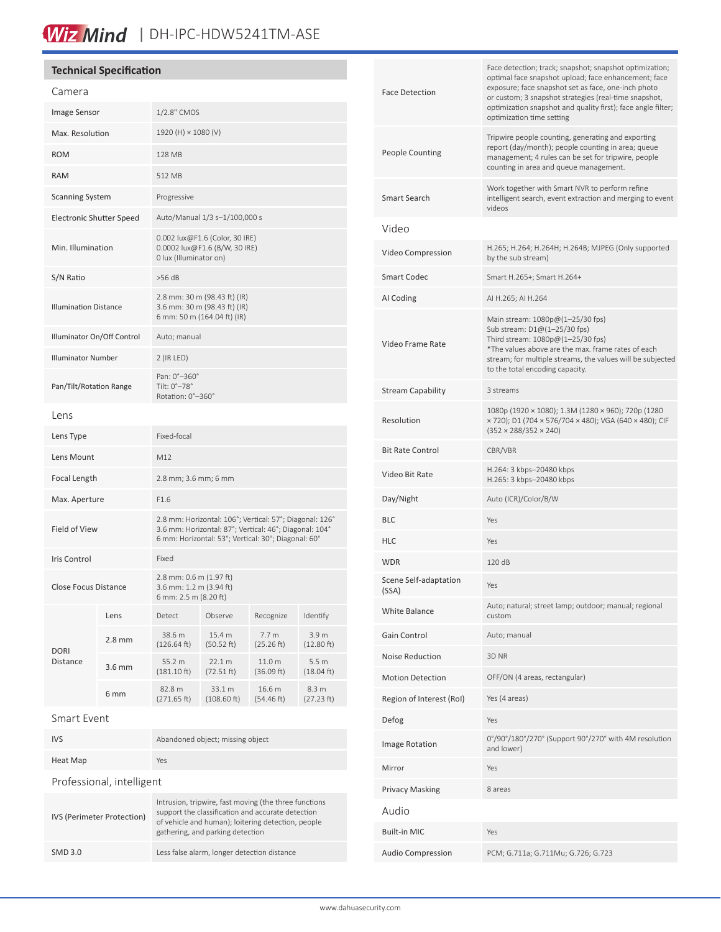# Wiz Mind | DH-IPC-HDW5241TM-ASE

### **Technical Specification**

| Camera                       |                  |                                                                                                                                                                          |                       |                                |                                |
|------------------------------|------------------|--------------------------------------------------------------------------------------------------------------------------------------------------------------------------|-----------------------|--------------------------------|--------------------------------|
| Image Sensor                 |                  | 1/2.8" CMOS                                                                                                                                                              |                       |                                |                                |
| Max. Resolution              |                  | 1920 (H) × 1080 (V)                                                                                                                                                      |                       |                                |                                |
| <b>ROM</b>                   |                  | 128 MB                                                                                                                                                                   |                       |                                |                                |
| <b>RAM</b>                   |                  | 512 MB                                                                                                                                                                   |                       |                                |                                |
| <b>Scanning System</b>       |                  | Progressive                                                                                                                                                              |                       |                                |                                |
| Electronic Shutter Speed     |                  | Auto/Manual 1/3 s-1/100,000 s                                                                                                                                            |                       |                                |                                |
| Min. Illumination            |                  | 0.002 lux@F1.6 (Color, 30 IRE)<br>0.0002 lux@F1.6 (B/W, 30 IRE)<br>0 lux (Illuminator on)                                                                                |                       |                                |                                |
| S/N Ratio                    |                  | $>56$ dB                                                                                                                                                                 |                       |                                |                                |
| <b>Illumination Distance</b> |                  | 2.8 mm: 30 m (98.43 ft) (IR)<br>3.6 mm: 30 m (98.43 ft) (IR)<br>6 mm: 50 m (164.04 ft) (IR)                                                                              |                       |                                |                                |
| Illuminator On/Off Control   |                  | Auto; manual                                                                                                                                                             |                       |                                |                                |
| <b>Illuminator Number</b>    |                  | $2$ (IR LED)                                                                                                                                                             |                       |                                |                                |
| Pan/Tilt/Rotation Range      |                  | Pan: 0°-360°<br>Tilt: 0°-78°<br>Rotation: 0°-360°                                                                                                                        |                       |                                |                                |
| Lens                         |                  |                                                                                                                                                                          |                       |                                |                                |
| Lens Type                    |                  | Fixed-focal                                                                                                                                                              |                       |                                |                                |
| Lens Mount                   |                  | M12                                                                                                                                                                      |                       |                                |                                |
| Focal Length                 |                  | 2.8 mm; 3.6 mm; 6 mm                                                                                                                                                     |                       |                                |                                |
| Max. Aperture                |                  | F1.6                                                                                                                                                                     |                       |                                |                                |
| Field of View                |                  | 2.8 mm: Horizontal: 106°; Vertical: 57°; Diagonal: 126°<br>3.6 mm: Horizontal: 87°; Vertical: 46°; Diagonal: 104°<br>6 mm: Horizontal: 53°; Vertical: 30°; Diagonal: 60° |                       |                                |                                |
| <b>Iris Control</b>          |                  | Fixed                                                                                                                                                                    |                       |                                |                                |
| <b>Close Focus Distance</b>  |                  | 2.8 mm: 0.6 m (1.97 ft)<br>3.6 mm: 1.2 m (3.94 ft)<br>6 mm: 2.5 m (8.20 ft)                                                                                              |                       |                                |                                |
|                              | Lens             | Detect                                                                                                                                                                   | Observe               | Recognize                      | Identify                       |
| <b>DORI</b>                  | $2.8 \text{ mm}$ | 38.6 m<br>(126.64 ft)                                                                                                                                                    | 15.4 m<br>(50.52 ft)  | 7.7 <sub>m</sub><br>(25.26 ft) | 3.9 m<br>(12.80 ft)            |
| Distance                     | $3.6$ mm         | 55.2 m<br>$(181.10 \text{ ft})$                                                                                                                                          | 22.1 m<br>(72.51 ft)  | 11.0 m<br>(36.09 ft)           | 5.5 <sub>m</sub><br>(18.04 ft) |
|                              | 6 mm             | 82.8 m<br>(271.65 ft)                                                                                                                                                    | 33.1 m<br>(108.60 ft) | 16.6 m<br>(54.46 ft)           | 8.3 m<br>(27.23 ft)            |
| Smart Event                  |                  |                                                                                                                                                                          |                       |                                |                                |
| <b>IVS</b>                   |                  | Abandoned object; missing object                                                                                                                                         |                       |                                |                                |
| Heat Map                     |                  | Yes                                                                                                                                                                      |                       |                                |                                |
|                              |                  |                                                                                                                                                                          |                       |                                |                                |

| Professional, intelligent |  |
|---------------------------|--|
|---------------------------|--|

| IVS (Perimeter Protection) | Intrusion, tripwire, fast moving (the three functions<br>support the classification and accurate detection<br>of vehicle and human); loitering detection, people<br>gathering, and parking detection |
|----------------------------|------------------------------------------------------------------------------------------------------------------------------------------------------------------------------------------------------|
| <b>SMD 3.0</b>             | Less false alarm, longer detection distance                                                                                                                                                          |

| Face Detection                 | Face detection; track; snapshot; snapshot optimization;<br>optimal face snapshot upload; face enhancement; face<br>exposure; face snapshot set as face, one-inch photo<br>or custom; 3 snapshot strategies (real-time snapshot,<br>optimization snapshot and quality first); face angle filter;<br>optimization time setting |  |  |
|--------------------------------|------------------------------------------------------------------------------------------------------------------------------------------------------------------------------------------------------------------------------------------------------------------------------------------------------------------------------|--|--|
| People Counting                | Tripwire people counting, generating and exporting<br>report (day/month); people counting in area; queue<br>management; 4 rules can be set for tripwire, people<br>counting in area and queue management.                                                                                                                    |  |  |
| Smart Search                   | Work together with Smart NVR to perform refine<br>intelligent search, event extraction and merging to event<br>videos                                                                                                                                                                                                        |  |  |
| Video                          |                                                                                                                                                                                                                                                                                                                              |  |  |
| Video Compression              | H.265; H.264; H.264H; H.264B; MJPEG (Only supported<br>by the sub stream)                                                                                                                                                                                                                                                    |  |  |
| Smart Codec                    | Smart H.265+; Smart H.264+                                                                                                                                                                                                                                                                                                   |  |  |
| AI Coding                      | AI H.265; AI H.264                                                                                                                                                                                                                                                                                                           |  |  |
| Video Frame Rate               | Main stream: 1080p@(1-25/30 fps)<br>Sub stream: D1@(1-25/30 fps)<br>Third stream: 1080p@(1-25/30 fps)<br>*The values above are the max. frame rates of each<br>stream; for multiple streams, the values will be subjected<br>to the total encoding capacity.                                                                 |  |  |
| Stream Capability              | 3 streams                                                                                                                                                                                                                                                                                                                    |  |  |
| Resolution                     | 1080p (1920 × 1080); 1.3M (1280 × 960); 720p (1280<br>× 720); D1 (704 × 576/704 × 480); VGA (640 × 480); CIF<br>$(352 \times 288/352 \times 240)$                                                                                                                                                                            |  |  |
| Bit Rate Control               | CBR/VBR                                                                                                                                                                                                                                                                                                                      |  |  |
| Video Bit Rate                 | H.264: 3 kbps-20480 kbps<br>H.265: 3 kbps-20480 kbps                                                                                                                                                                                                                                                                         |  |  |
| Day/Night                      | Auto (ICR)/Color/B/W                                                                                                                                                                                                                                                                                                         |  |  |
| BLC                            | Yes                                                                                                                                                                                                                                                                                                                          |  |  |
| HLC                            | Yes                                                                                                                                                                                                                                                                                                                          |  |  |
| <b>WDR</b>                     | 120 dB                                                                                                                                                                                                                                                                                                                       |  |  |
| Scene Self-adaptation<br>(SSA) | Yes                                                                                                                                                                                                                                                                                                                          |  |  |
| White Balance                  | Auto; natural; street lamp; outdoor; manual; regional<br>custom                                                                                                                                                                                                                                                              |  |  |
| Gain Control                   | Auto; manual                                                                                                                                                                                                                                                                                                                 |  |  |
| Noise Reduction                | 3D NR                                                                                                                                                                                                                                                                                                                        |  |  |
| <b>Motion Detection</b>        | OFF/ON (4 areas, rectangular)                                                                                                                                                                                                                                                                                                |  |  |
| Region of Interest (RoI)       | Yes (4 areas)                                                                                                                                                                                                                                                                                                                |  |  |
| Defog                          | Yes                                                                                                                                                                                                                                                                                                                          |  |  |
| Image Rotation                 | 0°/90°/180°/270° (Support 90°/270° with 4M resolution<br>and lower)                                                                                                                                                                                                                                                          |  |  |
| Mirror                         | Yes                                                                                                                                                                                                                                                                                                                          |  |  |
| Privacy Masking                | 8 areas                                                                                                                                                                                                                                                                                                                      |  |  |
| Audio                          |                                                                                                                                                                                                                                                                                                                              |  |  |
| Built-in MIC                   | Yes                                                                                                                                                                                                                                                                                                                          |  |  |
| Audio Compression              | PCM; G.711a; G.711Mu; G.726; G.723                                                                                                                                                                                                                                                                                           |  |  |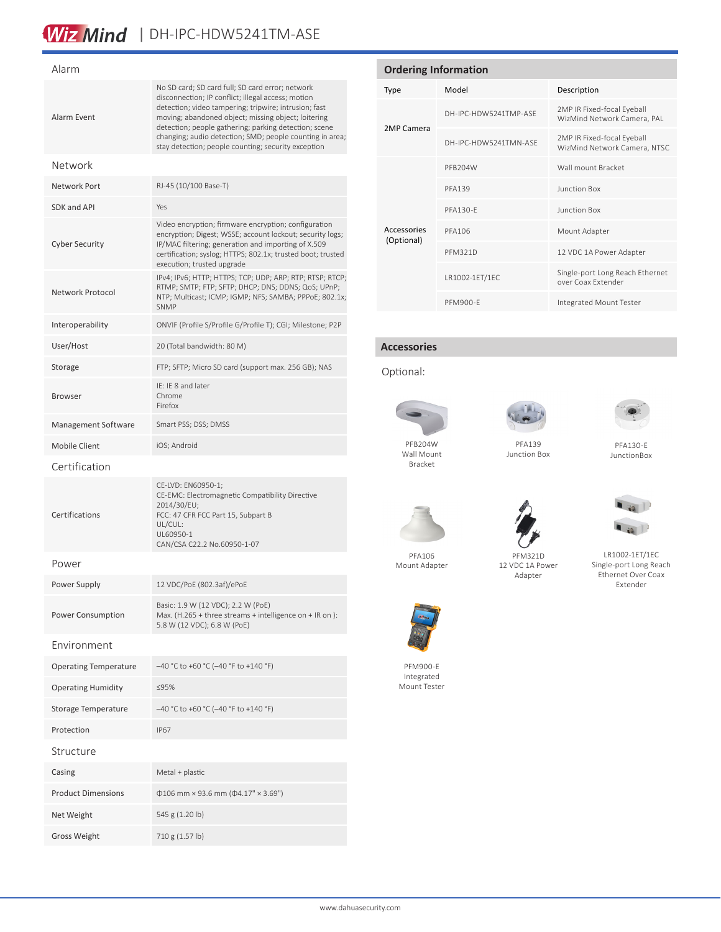# Wiz Mind | DH-IPC-HDW5241TM-ASE

| Alarm                        |                                                                                                                                                                                                                                                                                                                                                                                                    |  |
|------------------------------|----------------------------------------------------------------------------------------------------------------------------------------------------------------------------------------------------------------------------------------------------------------------------------------------------------------------------------------------------------------------------------------------------|--|
| Alarm Event                  | No SD card; SD card full; SD card error; network<br>disconnection; IP conflict; illegal access; motion<br>detection; video tampering; tripwire; intrusion; fast<br>moving; abandoned object; missing object; loitering<br>detection; people gathering; parking detection; scene<br>changing; audio detection; SMD; people counting in area;<br>stay detection; people counting; security exception |  |
| Network                      |                                                                                                                                                                                                                                                                                                                                                                                                    |  |
| Network Port                 | RJ-45 (10/100 Base-T)                                                                                                                                                                                                                                                                                                                                                                              |  |
| SDK and API                  | Yes                                                                                                                                                                                                                                                                                                                                                                                                |  |
| <b>Cyber Security</b>        | Video encryption; firmware encryption; configuration<br>encryption; Digest; WSSE; account lockout; security logs;<br>IP/MAC filtering; generation and importing of X.509<br>certification; syslog; HTTPS; 802.1x; trusted boot; trusted<br>execution; trusted upgrade                                                                                                                              |  |
| Network Protocol             | IPv4; IPv6; HTTP; HTTPS; TCP; UDP; ARP; RTP; RTSP; RTCP;<br>RTMP; SMTP; FTP; SFTP; DHCP; DNS; DDNS; QoS; UPnP;<br>NTP; Multicast; ICMP; IGMP; NFS; SAMBA; PPPoE; 802.1x;<br><b>SNMP</b>                                                                                                                                                                                                            |  |
| Interoperability             | ONVIF (Profile S/Profile G/Profile T); CGI; Milestone; P2P                                                                                                                                                                                                                                                                                                                                         |  |
| User/Host                    | 20 (Total bandwidth: 80 M)                                                                                                                                                                                                                                                                                                                                                                         |  |
| Storage                      | FTP; SFTP; Micro SD card (support max. 256 GB); NAS                                                                                                                                                                                                                                                                                                                                                |  |
| <b>Browser</b>               | IF: IF 8 and later<br>Chrome<br>Firefox                                                                                                                                                                                                                                                                                                                                                            |  |
| Management Software          | Smart PSS; DSS; DMSS                                                                                                                                                                                                                                                                                                                                                                               |  |
| <b>Mobile Client</b>         | iOS; Android                                                                                                                                                                                                                                                                                                                                                                                       |  |
| Certification                |                                                                                                                                                                                                                                                                                                                                                                                                    |  |
| Certifications               | CE-LVD: EN60950-1;<br>CE-EMC: Electromagnetic Compatibility Directive<br>2014/30/EU;<br>FCC: 47 CFR FCC Part 15, Subpart B<br>UL/CUL:<br>UL60950-1<br>CAN/CSA C22.2 No.60950-1-07                                                                                                                                                                                                                  |  |
| Power                        |                                                                                                                                                                                                                                                                                                                                                                                                    |  |
| Power Supply                 | 12 VDC/PoE (802.3af)/ePoE                                                                                                                                                                                                                                                                                                                                                                          |  |
| Power Consumption            | Basic: 1.9 W (12 VDC); 2.2 W (PoE)<br>Max. (H.265 + three streams + intelligence on + IR on ):<br>5.8 W (12 VDC); 6.8 W (PoE)                                                                                                                                                                                                                                                                      |  |
| Environment                  |                                                                                                                                                                                                                                                                                                                                                                                                    |  |
| <b>Operating Temperature</b> | -40 °C to +60 °C (-40 °F to +140 °F)                                                                                                                                                                                                                                                                                                                                                               |  |
| <b>Operating Humidity</b>    | ≤95%                                                                                                                                                                                                                                                                                                                                                                                               |  |
| Storage Temperature          | -40 °C to +60 °C (-40 °F to +140 °F)                                                                                                                                                                                                                                                                                                                                                               |  |
| Protection                   | <b>IP67</b>                                                                                                                                                                                                                                                                                                                                                                                        |  |
| Structure                    |                                                                                                                                                                                                                                                                                                                                                                                                    |  |
| Casing                       | Metal + plastic                                                                                                                                                                                                                                                                                                                                                                                    |  |
| <b>Product Dimensions</b>    | $\Phi$ 106 mm × 93.6 mm ( $\Phi$ 4.17" × 3.69")                                                                                                                                                                                                                                                                                                                                                    |  |
| Net Weight                   | 545 g (1.20 lb)                                                                                                                                                                                                                                                                                                                                                                                    |  |
| <b>Gross Weight</b>          | 710 g (1.57 lb)                                                                                                                                                                                                                                                                                                                                                                                    |  |

| <b>Ordering Information</b> |                       |                                                            |  |  |
|-----------------------------|-----------------------|------------------------------------------------------------|--|--|
| <b>Type</b>                 | Model                 | Description                                                |  |  |
| 2MP Camera                  | DH-IPC-HDW5241TMP-ASF | 2MP IR Fixed-focal Eyeball<br>WizMind Network Camera, PAL  |  |  |
|                             | DH-IPC-HDW5241TMN-ASF | 2MP IR Fixed-focal Eyeball<br>WizMind Network Camera, NTSC |  |  |
| Accessories<br>(Optional)   | PFB204W               | Wall mount Bracket                                         |  |  |
|                             | <b>PFA139</b>         | <b>Junction Box</b>                                        |  |  |
|                             | PFA130-F              | Junction Box                                               |  |  |
|                             | <b>PFA106</b>         | Mount Adapter                                              |  |  |
|                             | <b>PFM321D</b>        | 12 VDC 1A Power Adapter                                    |  |  |
|                             | LR1002-1ET/1EC        | Single-port Long Reach Ethernet<br>over Coax Extender      |  |  |
|                             | <b>PFM900-F</b>       | Integrated Mount Tester                                    |  |  |

### **Accessories**

#### Optional:



Wall Mount Bracket



PFA139 Junction Box



PFA130-E JunctionBox

 $\blacksquare$  is  $\blacksquare$ 



PFA106 Mount Adapter



LR1002-1ET/1EC Single-port Long Reach Ethernet Over Coax Extender



PFM900-E Integrated Mount Tester